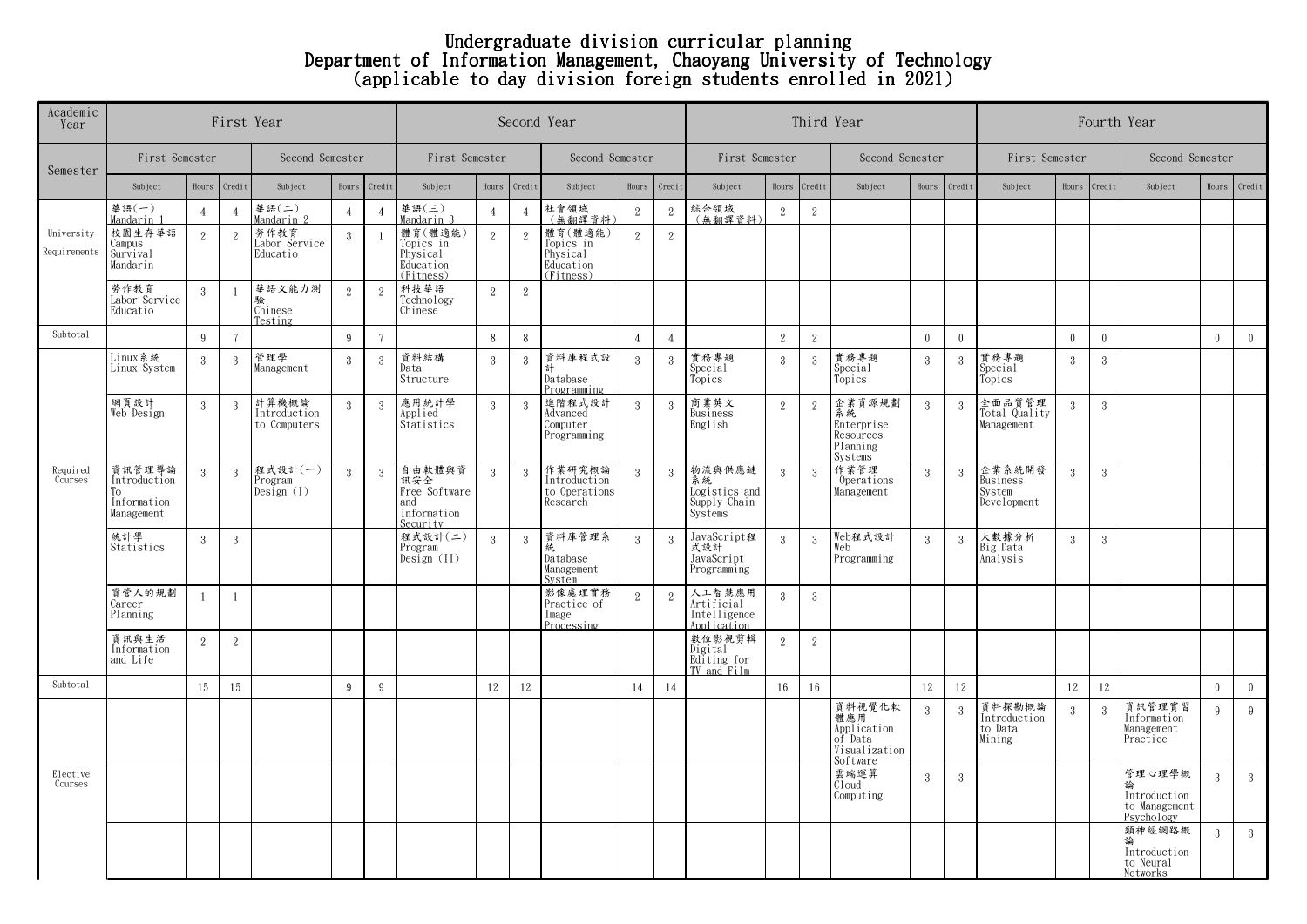## Undergraduate division curricular planning Department of Information Management, Chaoyang University of Technology (applicable to day division foreign students enrolled in 2021)

| Academic<br>Year           |                                                           | First Year     |                        |                                       | Second Year     |                | Third Year                                                       | Fourth Year    |                |                                                            |                 |                |                                                          |                |                |                                                                      |                 |               |                                             |                |               |                                                       |                 |                 |  |
|----------------------------|-----------------------------------------------------------|----------------|------------------------|---------------------------------------|-----------------|----------------|------------------------------------------------------------------|----------------|----------------|------------------------------------------------------------|-----------------|----------------|----------------------------------------------------------|----------------|----------------|----------------------------------------------------------------------|-----------------|---------------|---------------------------------------------|----------------|---------------|-------------------------------------------------------|-----------------|-----------------|--|
| Semester                   |                                                           | First Semester |                        |                                       | Second Semester |                |                                                                  | First Semester |                |                                                            | Second Semester |                |                                                          | First Semester |                |                                                                      | Second Semester |               |                                             | First Semester |               |                                                       | Second Semester |                 |  |
|                            | Subject                                                   | Hours          | Credit                 | Subject                               | Hours           | Credit         | Subject                                                          | Hours          | Credit         | Subject                                                    | Hours           | Credit         | Subject                                                  | Hours          | Credit         | Subject                                                              | Hours           | Credit        | Subject                                     | Hours Credit   |               | Subject                                               |                 | Hours Credit    |  |
|                            | 華語(一)<br>Mandarin 1                                       | $\overline{4}$ | $\boldsymbol{\Lambda}$ | 華語(二)<br>Mandarin 2                   | $\overline{4}$  | $\overline{4}$ | 華語 $($ 三 $)$<br>Mandarin 3                                       | $\overline{4}$ | $\overline{4}$ | 社會領域<br>(無翻譯資料)                                            | $\,2$           | $\sqrt{2}$     | 綜合領域<br>(無翻譯音料)                                          | 2              | $\,2$          |                                                                      |                 |               |                                             |                |               |                                                       |                 |                 |  |
| University<br>Requirements | 校園生存華語<br>Campus<br>Survival<br>Mandarin                  | 2              | 2                      | 勞作教育<br>Labor Service<br>Educatio     | $\mathbf{3}$    |                | 體育(體適能)<br>Topics in<br>Physical<br>Education<br>(Fitness)       | 2              | $\mathbf{2}$   | 體育(體適能)<br>Topics in<br>Physical<br>Education<br>(Fitness) | $\overline{2}$  | 2              |                                                          |                |                |                                                                      |                 |               |                                             |                |               |                                                       |                 |                 |  |
|                            | 勞作教育<br>Labor Service<br>Educatio                         | $\mathbf{3}$   | $\mathbf{1}$           | 華語文能力測<br>Chinese<br>Testing          | 2               | 2              | 科技華語<br>Technology<br>Chinese                                    | $\mathbf{2}$   | $\mathbf{2}$   |                                                            |                 |                |                                                          |                |                |                                                                      |                 |               |                                             |                |               |                                                       |                 |                 |  |
| Subtotal                   |                                                           | 9              | $\overline{7}$         |                                       | 9               | $\overline{7}$ |                                                                  | 8              | 8              |                                                            | $\overline{4}$  | $\overline{4}$ |                                                          | 2              | 2              |                                                                      | $\mathbf{0}$    | $\mathbf{0}$  |                                             | $\mathbf{0}$   | $\mathbf{0}$  |                                                       | $\overline{0}$  | $\overline{0}$  |  |
| Required<br>Courses        | Linux 系統<br>Linux System                                  | 3              | 3                      | 管理學<br>Management                     | $\overline{3}$  | -3             | 資料結構<br>Data<br>Structure                                        | 3              | 3              | 資料庫程式設<br>計<br>Database<br>Programming                     | 3               | $\overline{3}$ | 實務專題<br>Special<br>Topics                                | $\mathbf{3}$   | 3              | 實務專題<br>Special<br>Topics                                            | 3               | 3             | 實務專題<br>Special<br>Topics                   | $\mathbf{3}$   | $\mathcal{S}$ |                                                       |                 |                 |  |
|                            | 網頁設計<br>Web Design                                        | 3              | $\mathcal{R}$          | 計算機概論<br>Introduction<br>to Computers | 3               | $\mathcal{R}$  | 應用統計學<br>Applied<br>Statistics                                   | 3              | 3              | 進階程式設計<br>Advanced<br>Computer<br>Programming              | 3               | $\overline{3}$ | 商業英文<br>Business<br>English                              | 2              | $\overline{2}$ | 企業資源規劃<br>系統<br>Enterprise<br>Resources<br>Planning<br>Systems       | 3               | 3             | 全面品質管理<br>Total Quality<br>Management       | 3              | 3             |                                                       |                 |                 |  |
|                            | 資訊管理導論<br>Introduction<br>Тo<br>Information<br>Management | 3              | 3                      | 程式設計(一)<br>Program<br>Design (1)      | $\overline{3}$  | 3              | 自由軟體與資<br>訊安全<br>Free Software<br>and<br>Information<br>Security | $\mathbf{3}$   | $\sqrt{3}$     | 作業研究概論<br>Introduction<br>to Operations<br>Research        | $\overline{3}$  | $\mathbf{3}$   | 物流與供應鏈<br>系統<br>Logistics and<br>Supply Chain<br>Systems | $\mathcal{R}$  | $\mathbf{3}$   | 作業管理<br>Operations<br>Management                                     | $\mathbf{3}$    | 3             | 企業系統開發<br>Business<br>System<br>Development | $\mathbf{3}$   | 3             |                                                       |                 |                 |  |
|                            | 統計學<br>Statistics                                         | $\mathcal{R}$  | 3                      |                                       |                 |                | 程式設計(二)<br>Program<br>Design (II)                                | $\mathcal{S}$  | 3              | 資料庫管理系<br>统<br>Database<br>Management<br><b>System</b>     | $\mathcal{R}$   | 3              | JavaScript程<br>式設計<br>JavaScript<br>Programming          | $\overline{3}$ | 3              | Web程式設計<br>Web<br>Programming                                        | $\mathbf{3}$    | $\mathcal{S}$ | 大數據分析<br>Big Data<br>Analysis               | $\mathcal{S}$  | $\mathcal{S}$ |                                                       |                 |                 |  |
|                            | 資管人的規劃<br>Career<br>Planning                              | $\overline{1}$ | $\overline{1}$         |                                       |                 |                |                                                                  |                |                | 影像處理實務<br>Practice of<br>Image<br>Processing               | 2               | 2              | 人工智慧應用<br>Artificial<br>Intelligence<br>Application      | -3             | 3              |                                                                      |                 |               |                                             |                |               |                                                       |                 |                 |  |
|                            | 資訊與生活<br>Information<br>and Life                          | 2              | $\overline{2}$         |                                       |                 |                |                                                                  |                |                |                                                            |                 |                | 數位影視剪輯<br>Digital<br>Editing for<br>TV and Film          | 2              | $\,2$          |                                                                      |                 |               |                                             |                |               |                                                       |                 |                 |  |
| Subtotal                   |                                                           | 15             | 15                     |                                       | 9               | 9              |                                                                  | 12             | 12             |                                                            | 14              | 14             |                                                          | 16             | 16             |                                                                      | 12              | 12            |                                             | 12             | 12            |                                                       | $\theta$        | $\overline{0}$  |  |
| Elective<br>Courses        |                                                           |                |                        |                                       |                 |                |                                                                  |                |                |                                                            |                 |                |                                                          |                |                | 資料視覺化軟<br>體應用<br>Application<br>of Data<br>Visualization<br>Software | $\mathbf{3}$    | 3             | 資料探勘概論<br>Introduction<br>to Data<br>Mining | $\mathbf{3}$   | $\mathcal{R}$ | 資訊管理實習<br>Information<br>Management<br>Practice       | 9               | -9              |  |
|                            |                                                           |                |                        |                                       |                 |                |                                                                  |                |                |                                                            |                 |                |                                                          |                |                | 雲端運算<br>Cloud<br>Computing                                           | 3               | 3             |                                             |                |               | 管理心理學概<br>Introduction<br>to Management<br>Psychology | $\mathcal{R}$   | $3\phantom{.0}$ |  |
|                            |                                                           |                |                        |                                       |                 |                |                                                                  |                |                |                                                            |                 |                |                                                          |                |                |                                                                      |                 |               |                                             |                |               | 類神經網路概<br>論<br>Introduction<br>to Neural<br>Networks  | $\mathcal{R}$   | 3 <sup>1</sup>  |  |